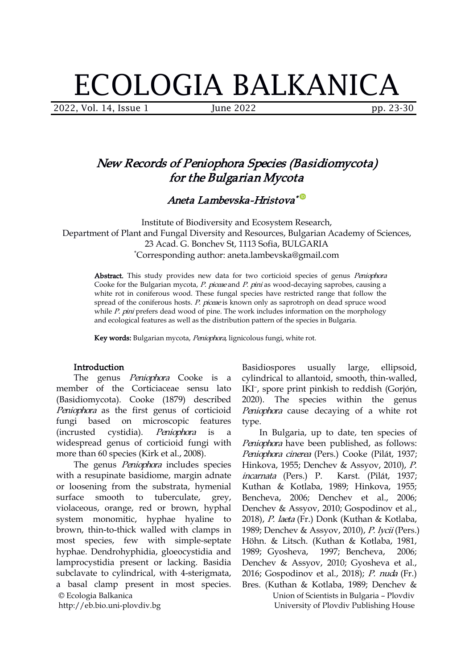# ECOLOGIA BALKANICA

2022, Vol. 14, Issue 1 June 2022 pp. 23-30

# New Records of Peniophora Species (Basidiomycota) for the Bulgarian Mycota

Aneta Lambevska-Hristova \*

Institute of Biodiversity and Ecosystem Research, Department of Plant and Fungal Diversity and Resources, Bulgarian Academy of Sciences, 23 Acad. G. Bonchev St, 1113 Sofia, BULGARIA \*Corresponding author: [aneta.lambevska@gmail.com](mailto:aneta.lambevska@gmail.com)

Abstract. This study provides new data for two corticioid species of genus Peniophora Cooke for the Bulgarian mycota, P. piceae and P. pini as wood-decaying saprobes, causing a white rot in coniferous wood. These fungal species have restricted range that follow the spread of the coniferous hosts. P. piceae is known only as saprotroph on dead spruce wood while P. pini prefers dead wood of pine. The work includes information on the morphology and ecological features as well as the distribution pattern of the species in Bulgaria.

Key words: Bulgarian mycota, Peniophora, lignicolous fungi, white rot.

### Introduction

The genus *Peniophora* Cooke is a member of the Corticiaceae sensu lato (Basidiomycota). Cooke (1879) described Peniophora as the first genus of corticioid fungi based on microscopic features type. fungi based on microscopic features type.<br>(incrusted cystidia). *Peniophora* is a In-Bulgaria,-up-to-date,-ten-species-of widespread genus of corticioid fungi with more than 60 species (Kirk et al., 2008).

© Ecologia Balkanica http://eb.bio.uni-plovdiv.bg The genus Peniophora includes species with a resupinate basidiome, margin adnate or loosening from the substrata, hymenial surface smooth to tuberculate, grey, violaceous, orange, red or brown, hyphal system monomitic, hyphae hyaline to brown, thin-to-thick walled with clamps in most species, few with simple-septate hyphae. Dendrohyphidia, gloeocystidia and 1989; Gyosheva, 1997; Bencheva, lamprocystidia present or lacking. Basidia subclavate to cylindrical, with 4-sterigmata, a basal clamp present in most species.

Basidiospores usually large, ellipsoid, cylindrical to allantoid, smooth, thin-walled, IKI – , spore print pinkish to reddish (Gorjón, 2020). The species within the genus Peniophora cause decaying of a white rot

Peniophora have been published, as follows: Peniophora cinerea (Pers.) Cooke (Pilát, 1937; Hinkova, 1955; Denchev & Assyov, 2010), P. incarnata (Pers.) P. Karst. (Pilát, 1937; Kuthan & Kotlaba, 1989; Hinkova, 1955; Bencheva, 2006; Denchev et al., 2006; Denchev & Assyov, 2010; Gospodinov et al., 2018), P. laeta (Fr.) Donk (Kuthan & Kotlaba, 1989; Denchev & Assyov, 2010), P. lycii (Pers.) Höhn. & Litsch. (Kuthan & Kotlaba, 1981, 1989; Gyosheva, 1997; Bencheva, 2006; Denchev & Assyov, 2010; Gyosheva et al., 2016; Gospodinov et al., 2018); P. nuda (Fr.) Bres. (Kuthan & Kotlaba, 1989; Denchev &

Union of Scientists in Bulgaria – Plovdiv University of Plovdiv Publishing House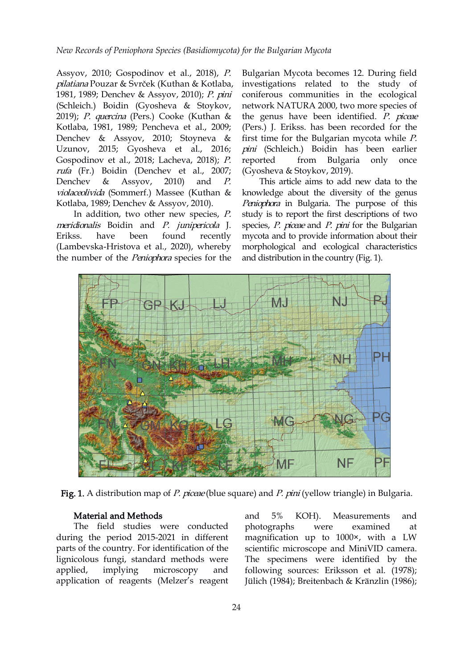Assyov, 2010; Gospodinov et al., 2018), [P.](http://www.indexfungorum.org/names/Names.asp?strGenus=Peniophora) pilatiana Pouzar & Svrček (Kuthan & Kotlaba, 1981, 1989; Denchev & Assyov, 2010); P. pini (Schleich.) Boidin (Gyosheva & Stoykov, 2019); P. quercina (Pers.) Cooke (Kuthan & Kotlaba, 1981, 1989; Pencheva et al., 2009; Denchev & Assyov, 2010; Stoyneva & Uzunov, 2015; Gyosheva et al., 2016; Gospodinov et al., 2018; Lacheva, 2018); P. reported rufa (Fr.) Boidin (Denchev et al., 2007; Denchev & Assyov, 2010) and  $P$ . This article aims to add new data to the violaceolivida (Sommerf.) Massee (Kuthan & Kotlaba, 1989; Denchev & Assyov, 2010).

In addition, two other new species, P. meridionalis Boidin and P. junipericola J. (Lambevska-Hristova et al., 2020), whereby the number of the Peniophora species for the

Bulgarian Mycota becomes 12. During field investigations related to the study of coniferous communities in the ecological network NATURA 2000, twomore species of the genus have been identified. P. piceae (Pers.) J. Erikss. has been recorded for the first time for the Bulgarian mycota while  $P$ . pini (Schleich.) Boidin has been earlier from Bulgaria only once (Gyosheva & Stoykov, 2019).

Erikss. have been found recently mycota and to provide information about their knowledge ab[ou](https://orcid.org/0000-0003-0061-1015)t the diversity of the genus Peniophora in Bulgaria. The purpose of this study is to report the first descriptions of two species, P. piceae and P. pini for the Bulgarian morphological and ecological characteristics and distribution in the country (Fig. 1).



Fig. 1. A distribution map of P. piceae (blue square) and P. pini (yellow triangle) in Bulgaria.

#### Material and Methods

The field studies were conducted photographs were during the period 2015-2021 in different parts of the country. For identification of the lignicolous fungi, standard methods were applied, implying microscopy and following sources: Еriksson et al. (1978); application of reagents (Melzer's reagent

and 5% KOH). Measurements and photographs were examined at magnification up to 1000×, with a LW scientific microscope and MiniVID camera. The specimens were identified by the Jülich (1984); Breitenbach & Kränzlin (1986);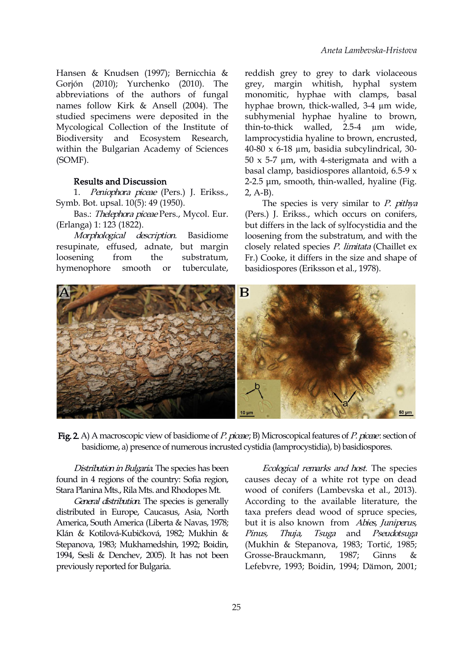Hansen & Knudsen (1997); Bernicchia & Gorjón (2010); Yurchenko (2010). The abbreviations of the authors of fungal names follow Kirk & Ansell (2004). The hyphae brown, thick-walled, 3-4  $\mu$ m wide, studied specimens were deposited in the Mycological Collection of the Institute of Biodiversity and Ecosystem Research, within the Bulgarian Academy of Sciences (SOMF).

## Results and Discussion

1. Peniophora piceae (Pers.) J. Erikss., Symb. Bot. upsal. 10(5): 49 (1950).

Bas.: Thelephora piceae Pers., Mycol. Eur. (Erlanga) 1: 123 (1822).

Morphological description. Basidiome resupinate, effused, adnate, but margin loosening from the substratum, hymenophore smooth or tuberculate,

reddish grey to grey to dark violaceous grey, margin whitish, hyphal system monomitic, hyphae with clamps, basal subhymenial hyphae hyaline to brown, thin-to-thick walled, 2.5-4 µm wide, lamprocystidia hyaline to brown, encrusted, 40-80 x 6-18 µm, basidia subcylindrical, 30-  $50 \times 5-7$  µm, with 4-sterigmata and with a basal clamp, basidiospores allantoid, 6.5-9 x 2-2.5 μm, smooth, thin-walled, hyaline (Fig. 2, A-B).

The spec[ies](https://orcid.org/0000-0003-0061-1015) is very similar to  $P$ . pithya (Pers.) J. Erikss., which occurs on conifers, but differs in the lack of sylfocystidia and the loosening from the substratum, and with the closely related species P. limitata (Chaillet ex Fr.) Cooke, it differs in the size and shape of basidiospores (Eriksson et al., 1978).



Fig. 2. A) A macroscopic view of basidiome of P. piceae; B) Microscopical features of P. piceae: section of basidiome, a) presence of numerous incrusted cystidia (lamprocystidia), b) basidiospores.

Distribution in Bulgaria. The species has been found in 4 regions of the country: Sofia region, Stara Planina Mts., Rila Mts. and Rhodopes Mt.

General distribution. The species is generally distributed in Europe, Caucasus, Asia, North America, South America (Liberta & Navas, 1978; Klán & Kotilová-Kubičková, 1982; Mukhin & Stepanova, 1983; Mukhamedshin, 1992; Boidin, 1994, Sesli & Denchev, 2005). It has not been previously reported for Bulgaria.

Ecological remarks and host. The species causes decay of a white rot type on dead wood of conifers (Lambevska et al., 2013). According to the available literature, the taxa prefers dead wood of spruce species, but it is also known from Abies, Juniperus, Tsuga and Pseudotsuga (Mukhin & Stepanova, 1983; Tortić, 1985; Grosse-Brauckmann, 1987; Ginns & Lefebvre, 1993; Boidin, 1994; Dämon, 2001;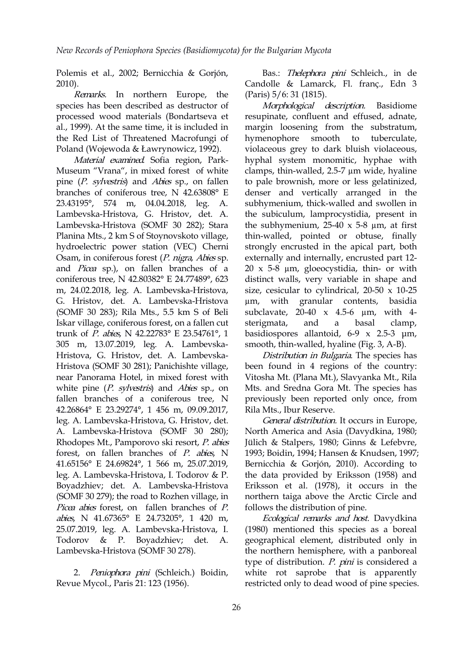Polemis et al., 2002; Bernicchia & Gorjón, 2010).

Remarks. In northern Europe, the species has been described as destructor of processed wood materials (Bondartseva et al., 1999). At the same time, it is included in the Red List of Threatened Macrofungi of Poland (Wojewoda & Ławrynowicz, 1992).

Material examined. Sofia region, Park- Museum "Vrana", in mixed forest of white pine (P. sylvestris) and Abies sp., on fallen branches of coniferous tree, N 42.63808° E 23.43195°, 574 m, 04.04.2018, leg. A. Lambevska-Hristova, G. Hristov, det. A. Lambevska-Hristova (SOMF 30 282); Stara Planina Mts., 2 km S of Stoynovskoto village, hydroelectric power station (VEC) Cherni Osam, in coniferous forest (P. nigra, Abies sp. and Picea sp.), on fallen branches of a coniferous tree, N 42.80382° E 24.77489°, 623 m, 24.02.2018, leg. A. Lambevska-Hristova, G. Hristov, det. A. Lambevska-Hristova (SOMF 30 283); Rila Mts., 5.5 km S of Beli Iskar village, coniferous forest, on a fallen cut trunk of P. abies, N 42.22783° E 23.54761°, 1 305 m, 13.07.2019, leg. A. Lambevska- Hristova, G. Hristov, det. A. Lambevska- Hristova (SOMF 30 281); Panichishte village, near Panorama Hotel, in mixed forest with white pine  $(P.$  sylvestris) and Abies sp., on fallen branches of a coniferous tree, N 42.26864° E 23.29274°, 1 456 m, 09.09.2017, leg. A. Lambevska-Hristova, G. Hristov, det. A. Lambevska-Hristova (SOMF 30 280); Rhodopes Mt., Pamporovo ski resort, P. abies forest, on fallen branches of  $P$ . abies, N 41.65156° E 24.69824°, 1 566 m, 25.07.2019, leg. A. Lambevska-Hristova, I. Todorov & P. Boyadzhiev; det. A. Lambevska-Hristova (SOMF 30 279); the road to Rozhen village, in Picea abies forest, on fallen branches of P. abies, N 41.67365° E 24.73205°, 1 420 m, 25.07.2019, leg. A. Lambevska-Hristova, I. Todorov & P. Boyadzhiev; det. A. Lambevska-Hristova (SOMF 30 278).

2. Peniophora pini (Schleich.) Boidin, Revue Mycol., Paris 21: 123 (1956).

Bas.: Thelephora pini Schleich., in de Candolle & Lamarck, Fl. franç., Edn 3 (Paris) 5/6: 31 (1815).

Morphological description. Basidiome resupinate, confluent and effused, adnate, margin loosening from the substratum, hymenophore smooth to tuberculate, violaceous grey to dark bluish violaceous, hyphal system monomitic, hyphae with clamps, thin-walled, 2.5-7 µm wide, hyaline to pale brownish, more or less gelatinized, denser and [v](https://orcid.org/0000-0003-0061-1015)ertically arranged in the subhymenium, thick-walled and swollen in the subiculum, lamprocystidia, present in the subhymenium,  $25-40 \times 5-8 \mu m$ , at first thin-walled, pointed or obtuse, finally strongly encrusted in the apical part, both externally and internally, encrusted part 12- 20 x 5-8 µm, gloeocystidia, thin- or with distinct walls, very variable in shape and size, cesicular to cylindrical, 20-50 x 10-25 granular contents, basidia subclavate, 20-40 x 4.5-6 µm, with 4 sterigmata, and a basal clamp, basidiospores allantoid, 6-9 x 2.5-3 μm, smooth, thin-walled, hyaline (Fig. 3, A-B).

Distribution in Bulgaria. The species has been found in 4 regions of the country: Vitosha Mt. (Plana Mt.), Slavyanka Mt., Rila Mts. and Sredna Gora Mt. The species has previously been reported only once, from Rila Mts., Ibur Reserve.

General distribution. It occurs in Europe, North America and Asia (Davydkina, 1980; Jülich & Stalpers, 1980; Ginns & Lefebvre, 1993; Boidin, 1994; Hansen & Knudsen, 1997; Bernicchia & Gorjón, 2010). According to the data provided by Eriksson (1958) and Eriksson et al. (1978), it occurs in the northern taiga above the Arctic Circle and follows the distribution of pine.

Ecological remarks and host. Davydkina (1980) mentioned this species as a boreal geographical element, distributed only in the northern hemisphere, with a panboreal type of distribution. P. pini is considered a white rot saprobe that is apparently restricted only to dead wood of pine species.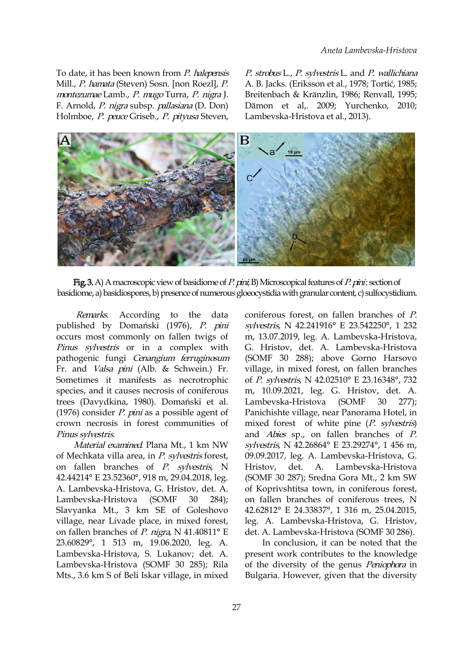Mill., P. hamata (Steven) Sosn. [non Roezl], P. montezumae Lamb., P. mugo Turra, P. nigra J. F. Arnold, P. nigra subsp. pallasiana (D. Don)

To date, it has been known from P. halepensis P. strobus L., P. sylvestris L. and P. wallichiana To date, it has been known from *P. halepensis P. strobus* L., *P. sylvestris* L. and *P. wallichiana*<br>Mill., *P. hamata* (Steven) Sosn. [non Roezl], *P.* A. B. Jacks. (Eriksson et al., 1978; Tortić, 1985;<br>*montezumae* Lam A. B. Jacks. (Eriksson et al., 1978; Тоrtić, 1985; Breitenbach & Kränzlin, 1986; Renvall, 1995; Dämon et al,. 2009; Yurchenko, 2010; Lambevska-Hristova et al., 2013).



Fig. 3. A) A macroscopic view of basidiome of P. pini; B) Microscopical features of P. pini: section of basidiome, a) basidiospores, b) presence of numerous gloeocystidia with granular content, c) sulfocystidium.

Remarks. According to the data published by Domański (1976), P. pini occurs most commonly on fallen twigs of Pinus sylvestris or in a complex with pathogenic fungi Cenangium ferruginosum Fr. and Valsa pini (Alb. & Schwein.) Fr. Sometimes it manifests as necrotrophic species, and it causes necrosis of coniferous trees (Davydkina, 1980). Domański et al. (1976) consider  $P.$  pini as a possible agent of crown necrosis in forest communities of Pinus sylvestris.

Material examined. Plana Mt., 1 km NW of Mechkata villa area, in P. sylvestris forest, on fallen branches of P. sylvestris, N Hristov, det. A. 42.44214° E 23.52360°, 918 m, 29.04.2018, leg. A. Lambevska-Hristova, G. Hristov, det. A. Lambevska-Hristova (SOMF 30 284); Slavyanka Mt., 3 km SE of Goleshovo village, near Livade place, in mixed forest, on fallen branches of  $P$ . nigra, N 41.40811° E 23.60829°, 1 513 m, 19.06.2020, leg. A. Lambevska-Hristova, S. Lukanov; det. A. Lambevska-Hristova (SOMF 30 285); Rila Mts., 3.6 km S of Beli Iskar village, in mixed

coniferous forest, on fallen branches of  $P$ . sylvestris, N 42.241916° E 23.542250°, 1 232 m, 13.07.2019, leg. A. Lambevska-Hristova, G. Hristov, det. A. Lambevska-Hristova (SOMF 30 288); above Gorno Harsovo village, in mixed forest, on fallen branches of P. sylvestris, N 42.02510° E 23.16348°, 732 m, 10.09.2021, leg. G. Hristov, det. A. Lambevska-Hristova (SOMF 30 277); Panichishte village, near Panorama Hotel, in mixed forest of white pine (P. sylvestris) and Abies sp., on fallen branches of P. sylvestris, N 42.26864° E 23.29274°, 1 456 m, 09.09.2017, leg. A. Lambevska-Hristova, G. Lambevska-Hristova (SOMF 30 287); Sredna Gora Mt., 2 km SW of Koprivshtitsa town, in coniferous forest, on fallen branches of coniferous trees, N 42.62812° E 24.33837°, 1 316 m, 25.04.2015, leg. A. Lambevska-Hristova, G. Hristov, det. A. Lambevska-Hristova (SOMF 30 286).

In conclusion, it can be noted that the present work contributes to the knowledge of the diversity of the genus Peniophora in Bulgaria. However, given that the diversity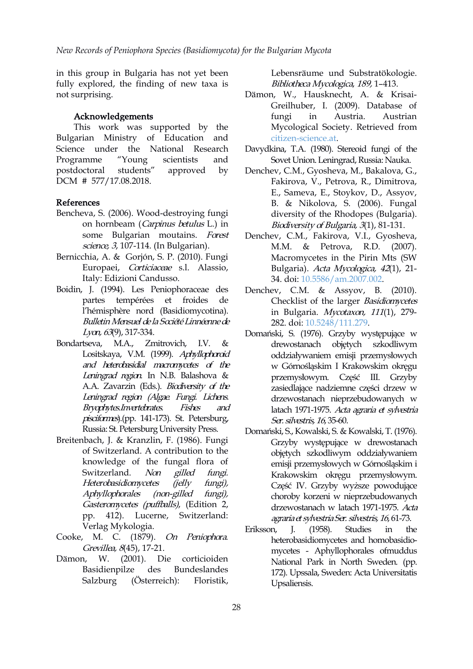in this group in Bulgaria has not yet been fully explored, the finding of new taxa is not surprising.

#### Acknowledgements

This work was supported by the Bulgarian Ministry of Education and Science under the National Research Programme "Young scientists and Sovet Union. Leningrad,Russia: Nauka. postdoctoral students" approved by Denchev, C.M., Gyosheva, M., Bakalova, G., DCM # 577/17.08.2018.

#### References

- Bencheva, S. (2006). Wood-destroying fungi on hornbeam (Carpinus betulus L.) in some Bulgarian moutains. Forest science, 3, 107-114. (In Bulgarian).
- Bernicchia, A. & Gorjón, S. P. (2010). Fungi Europaei, Corticiaceae s.l. Alassio, Italy: Edizioni Candusso.
- Boidin, J. (1994). Les Peniophoraceae des partes tempérées et froides de l'hémisphère nord (Basidiomycotina). Bulletin Mensuel de la Société Linnéenne de Lyon, <sup>63</sup>(9), 317-334.
- Lositskaya, V.M. (1999). Aphyllophoroid and heterobasidial macromycetes of the Leningrad region. In N.B. Balashova & A.A. Zavarzin (Eds.). Biodiversity of the Leningrad region (Algae. Fungi. Lichens. Bryophytes.Invertebrates. Fishes and pisciformes).(pp. 141-173). St. Petersburg, Russia: St. PetersburgUniversity Press.
- Breitenbach, J. & Kranzlin, F. (1986). Fungi of Switzerland. A contribution to the knowledge of the fungal flora of Switzerland. Non gilled fungi. Heterobasidiomycetes (jelly fungi), Aphyllophorales (non-gilled fungi), Gasteromycetes (puffballs), (Edition 2, pp. 412). Lucerne, Switzerland: Verlag Mykologia.
- Cooke, M. C. (1879). On Peniophora. Grevillea, 8(45), 17-21.
- Dämon, W. (2001). Die corticioiden Basidienpilze des Bundeslandes Salzburg (Österreich): Floristik,

Lebensräume und Substratökologie. Bibliotheca Mycologica, 189, 1–413.

- Dämon, W., Hausknecht, A. & Krisai- Greilhuber, I. (2009). Database of fungi in Austria. Austrian Mycological Society. Retrieved from [citizen-science.at](https://www.citizen-science.at/en/projects/pilzdaten-austria-eu-559).
- Davydkina, T.A. (1980). Stereoid fungi of the
- Fakirova, V., Petrova, R., Dimitrova, E., Sa[me](https://orcid.org/0000-0003-0061-1015)va, E., Stoykov, D., Assyov, B. & Nikolova, S. (2006). Fungal diversity of the Rhodopes (Bulgaria). Biodiversity of Bulgaria, <sup>3</sup>(1), 81-131.
- Denchev, C.M., Fakirova, V.I., Gyosheva, M.M. & Petrova, R.D. (2007). Macromycetes in the Pirin Mts (SW Bulgaria). Acta Mycologica, <sup>42</sup>(1), 21- 34. doi: [10.5586/am.2007.002.](http://dx.doi.org/10.5586/am.2007.002)
- Denchev, C.M. & Assyov, B. (2010). Checklist of the larger Basidiomycetes in Bulgaria. Mycotaxon, <sup>111</sup>(1), 279- 282. doi: [10.5248/111.279.](http://dx.doi.org/10.5248/111.279)
- Bondartseva, M.A., Zmitrovich, I.V. & drewostanach objętych szkodliwym Domański, S. (1976). Grzyby występujące w oddziaływaniem emisji przemysłowych w Górnośląskim I Krakowskim okręgu przemysłowym. Część III. Grzyby zasiedlające nadziemne części drzew w drzewostanach nieprzebudowanych w latach 1971-1975. Acta agraria et sylvestria Ser. silvestris, 16, 35-60.
	- Domański, S., Kowalski, S. & Kowalski, T. (1976). Grzyby występujące w drewostanach objętych szkodliwym oddziaływaniem emisji przemysłowych w Górnośląskim i Krakowskim okręgu przemysłowym. Część IV. Grzyby wyższe powodujące choroby korzeni w nieprzebudowanych drzewostanach w latach 1971-1975. Acta agrariaet sylvestriaSer. silvestris, <sup>16</sup>, 61-73.
	- Eriksson, J. (1958). Studies in the heterobasidiomycetes and homobasidio mycetes - Aphyllophorales ofmuddus National Park in North Sweden. (pp. 172). Upssala, Sweden: Acta Universitatis Upsaliensis.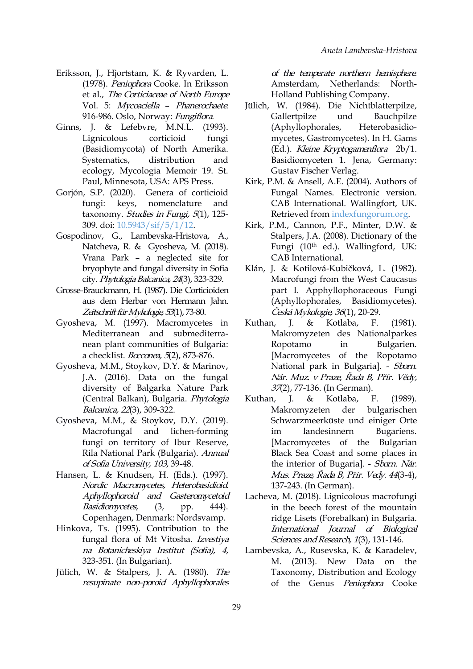- Eriksson, J., Hjortstam, K. & Ryvarden, L. (1978). Peniophora Cooke. In Eriksson et al., The Corticiaceae of North Europe Vol. 5: Mycoaciella - Phanerochaete. 916-986. Oslo, Norway: Fungiflora.
- Ginns, J. & Lefebvre, M.N.L. (1993). Lignicolous corticioid fungi (Basidiomycota) of North Amerika. ecology, Mycologia Memoir 19. St. Paul, Minnesota, USA: APS Press.
- Gorjón, S.P. (2020). Genera of corticioid taxonomy. Studies in Fungi, 5(1), 125-309. doi: [10.5943/sif/5/1/12](http://dx.doi.org/10.5943/sif/5/1/12).
- Gospodinov, G., Lambevska-Hristova, A., Natcheva, R. & Gyosheva, M. (2018). Vrana Park – a neglected site for bryophyte and fungal diversity in Sofia city. Phytologia Balcanica, 24(3), 323-329.
- Grosse-Brauckmann, H. (1987). Die Corticioiden aus dem Herbar von Hermann Jahn. Zeitschrift für Mykologie, 53(1), 73-80.
- Gyosheva, M. (1997). Macromycetes in Kuthan, J. & Mediterranean and submediterra nean plant communities of Bulgaria: a checkIist. Bocconea, 5(2), 873-876.
- Gyosheva, M.M., Stoykov, D.Y. & Marinov, J.A. (2016). Data on the fungal diversity of Balgarka Nature Park (Central Balkan), Bulgaria. Phytologia Kuthan, J. & Balcanica, 22(3), 309-322.
- Gyosheva, M.M., & Stoykov, D.Y. (2019). Macrofungal and lichen-forming fungi on territory of Ibur Reserve, Rila National Park (Bulgaria). Annual of Sofia University, <sup>103</sup>, 39-48.
- Hansen, L. & Knudsen, H. (Eds.). (1997). Nordic Macromycetes, Heterobasidioid. Aphyllophoroid and Gasteromycetoid Basidiomycetes, (3, pp. 444). Copenhagen, Denmark: Nordsvamp.
- Hinkova, Ts. (1995). Contribution to the fungal flora of Mt Vitosha. Izvestiya na Botanicheskiya Institut (Sofia), <sup>4</sup>, 323-351. (In Bulgarian).
- Jülich, W. & Stalpers, J. A. (1980). The resupinate non-poroid Aphyllophorales

of the temperate northern hemisphere. [Netherlands:](https://www.google.com/search?sxsrf=AOaemvIAjdLfhpkAXB8SOwDqHQzeW2ozmA:1642764729752&q=Amsterdam&stick=H4sIAAAAAAAAAOPgE-LVT9c3NEw2KiwuKUjKU2LXz9U3yDYu0DLKKLfST87PyUlNLsnMz9PPL0pPzMusSgRxiq0yUhNTCksTi0pSi4oVcvKTwcKLWDkdc4uBQimJuTtYGQHRbTL5XQAAAA&sa=X&ved=2ahUKEwi63qnB38L1AhXMQvEDHTHWDSwQmxMoAXoECBwQAw) North-Holland Publishing Company.

- Systematics, distribution and Basidiomyceten 1. Jena, Germany: Jülich, W. (1984). Die Nichtblatterpilze, Gallertpilze und Bauchpilze (Aphyllophorales, Heterobasidio mycetes, Gastromycetes). In H. Gams (Ed.). Kleine Kryptogamenflora 2b/1. Gustav Fischer Verlag.
- fungi: keys, nomenclature and CAB I[nte](https://orcid.org/0000-0003-0061-1015)rnational. Wallingfort, UK. Kirk, P.M. & Ansell, A.E. (2004). Authors of Fungal Names. Electronic version. Retrieved from [indexfungorum.org.](http://www.indexfungorum.org/names/names.asp.)
	- Kirk, P.M., Cannon, P.F., Minter, D.W. & Stalpers, J.A. (2008). Dictionary of the Fungi (10<sup>th</sup> ed.). Wallingford, UK: CAB International.
	- Klán, J. & Kotilová-Kubičková, L. (1982). Macrofungi from the West Caucasus part I. Apphyllophoraceous Fungi (Aphyllophorales, Basidiomycetes). Česká Mykologie, <sup>36</sup>(1), 20-29.
	- Kotlaba, F. (1981). Makromyzeten des Nationalparkes Ropotamo in Bulgarien. [Macromycetes of the Ropotamo National park in Bulgaria]. - Sborn. Nár. Muz. <sup>v</sup> Praze, Řada B, Přír. Vědy, 37(2), 77-136. (In German).
	- Kotlaba, F. (1989). Makromyzeten der bulgarischen Schwarzmeerküste und einiger Orte landesinnern Bugariens. [Macromycetes of the Bulgarian Black Sea Coast and some places in the interior of Bugaria]. - Sborn. Nár. Mus. Praze, Řada B, Přír. Vedy. <sup>44</sup>(3-4), 137-243. (In German).
	- Lacheva, M. (2018). Lignicolous macrofungi in the beech forest of the mountain ridge Lisets (Forebalkan) in Bulgaria. International Journal of Biological Sciences and Research, 1(3), 131-146.
	- Lambevska, A., Rusevska, K. & Karadelev, M. (2013). New Data on the Taxonomy, Distribution and Ecology of the Genus Peniophora Cooke